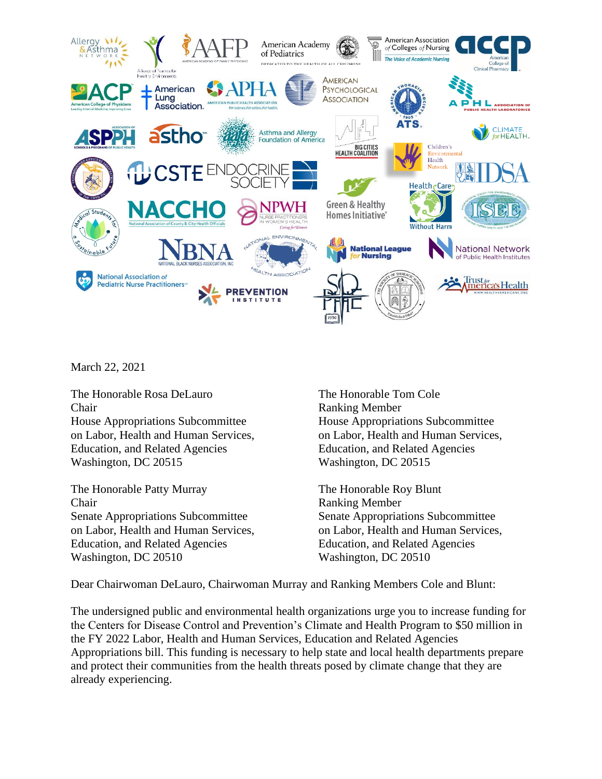

March 22, 2021

The Honorable Rosa DeLauro The Honorable Tom Cole Chair Ranking Member House Appropriations Subcommittee House Appropriations Subcommittee on Labor, Health and Human Services, on Labor, Health and Human Services, Education, and Related Agencies Education, and Related Agencies Washington, DC 20515 Washington, DC 20515

The Honorable Patty Murray The Honorable Roy Blunt Chair Ranking Member Senate Appropriations Subcommittee Senate Appropriations Subcommittee Education, and Related Agencies Education, and Related Agencies Washington, DC 20510 Washington, DC 20510

on Labor, Health and Human Services, on Labor, Health and Human Services,

Dear Chairwoman DeLauro, Chairwoman Murray and Ranking Members Cole and Blunt:

The undersigned public and environmental health organizations urge you to increase funding for the Centers for Disease Control and Prevention's Climate and Health Program to \$50 million in the FY 2022 Labor, Health and Human Services, Education and Related Agencies Appropriations bill. This funding is necessary to help state and local health departments prepare and protect their communities from the health threats posed by climate change that they are already experiencing.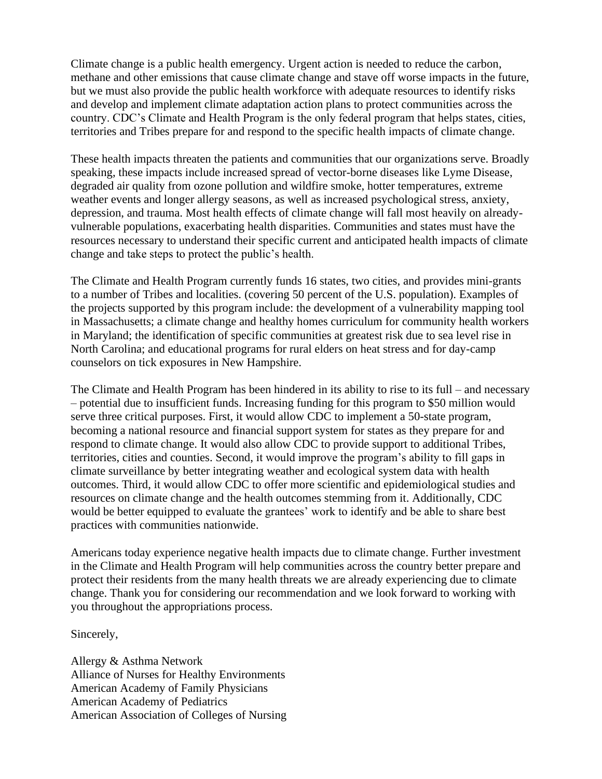Climate change is a public health emergency. Urgent action is needed to reduce the carbon, methane and other emissions that cause climate change and stave off worse impacts in the future, but we must also provide the public health workforce with adequate resources to identify risks and develop and implement climate adaptation action plans to protect communities across the country. CDC's Climate and Health Program is the only federal program that helps states, cities, territories and Tribes prepare for and respond to the specific health impacts of climate change.

These health impacts threaten the patients and communities that our organizations serve. Broadly speaking, these impacts include increased spread of vector-borne diseases like Lyme Disease, degraded air quality from ozone pollution and wildfire smoke, hotter temperatures, extreme weather events and longer allergy seasons, as well as increased psychological stress, anxiety, depression, and trauma. Most health effects of climate change will fall most heavily on alreadyvulnerable populations, exacerbating health disparities. Communities and states must have the resources necessary to understand their specific current and anticipated health impacts of climate change and take steps to protect the public's health.

The Climate and Health Program currently funds 16 states, two cities, and provides mini-grants to a number of Tribes and localities. (covering 50 percent of the U.S. population). Examples of the projects supported by this program include: the development of a vulnerability mapping tool in Massachusetts; a climate change and healthy homes curriculum for community health workers in Maryland; the identification of specific communities at greatest risk due to sea level rise in North Carolina; and educational programs for rural elders on heat stress and for day-camp counselors on tick exposures in New Hampshire.

The Climate and Health Program has been hindered in its ability to rise to its full – and necessary – potential due to insufficient funds. Increasing funding for this program to \$50 million would serve three critical purposes. First, it would allow CDC to implement a 50-state program, becoming a national resource and financial support system for states as they prepare for and respond to climate change. It would also allow CDC to provide support to additional Tribes, territories, cities and counties. Second, it would improve the program's ability to fill gaps in climate surveillance by better integrating weather and ecological system data with health outcomes. Third, it would allow CDC to offer more scientific and epidemiological studies and resources on climate change and the health outcomes stemming from it. Additionally, CDC would be better equipped to evaluate the grantees' work to identify and be able to share best practices with communities nationwide.

Americans today experience negative health impacts due to climate change. Further investment in the Climate and Health Program will help communities across the country better prepare and protect their residents from the many health threats we are already experiencing due to climate change. Thank you for considering our recommendation and we look forward to working with you throughout the appropriations process.

## Sincerely,

Allergy & Asthma Network Alliance of Nurses for Healthy Environments American Academy of Family Physicians American Academy of Pediatrics American Association of Colleges of Nursing